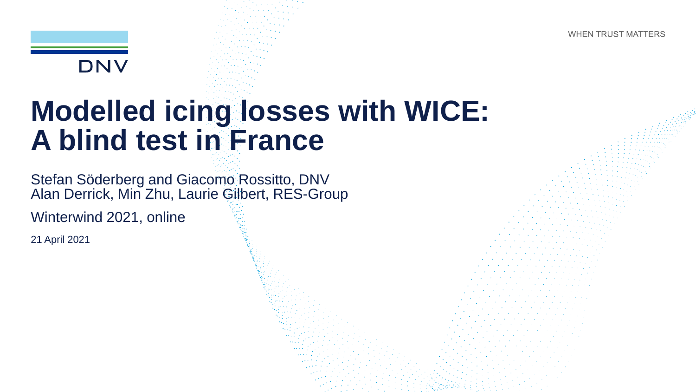**WHEN TRUST MATTERS** 



## **Modelled icing losses with WICE: A blind test in France**

Stefan Söderberg and Giacomo Rossitto, DNV Alan Derrick, Min Zhu, Laurie Gilbert, RES-Group

Winterwind 2021, online

21 April 2021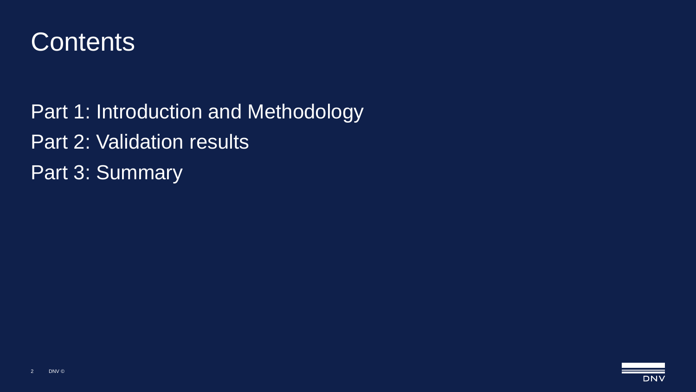

Part 1: Introduction and Methodology Part 2: Validation results Part 3: Summary

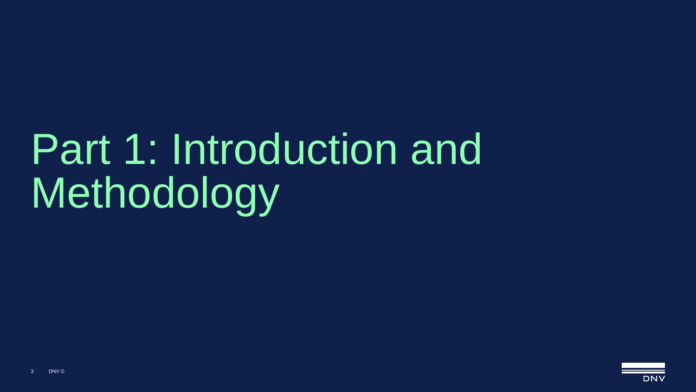# Part 1: Introduction and Methodology

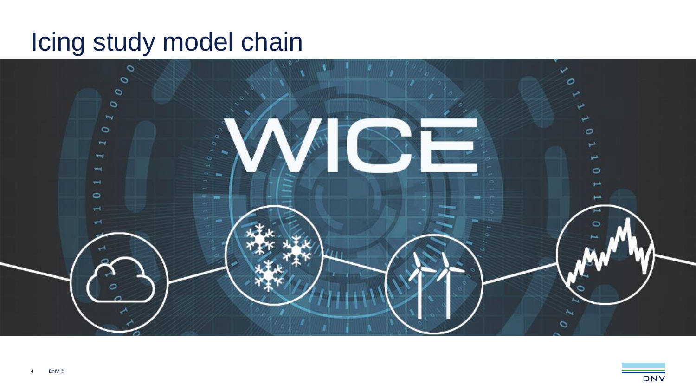#### Icing study model chain



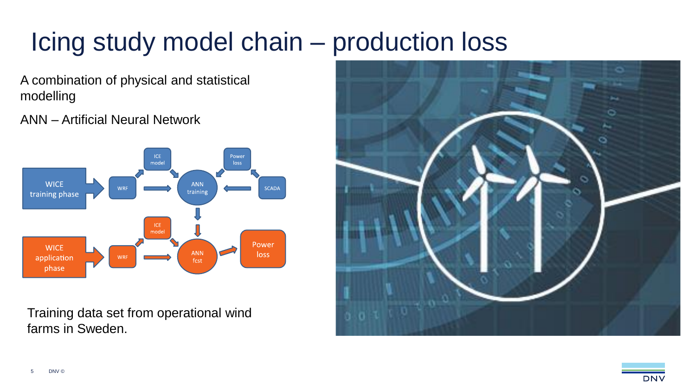### Icing study model chain – production loss

A combination of physical and statistical modelling

ANN – Artificial Neural Network



Training data set from operational wind farms in Sweden.

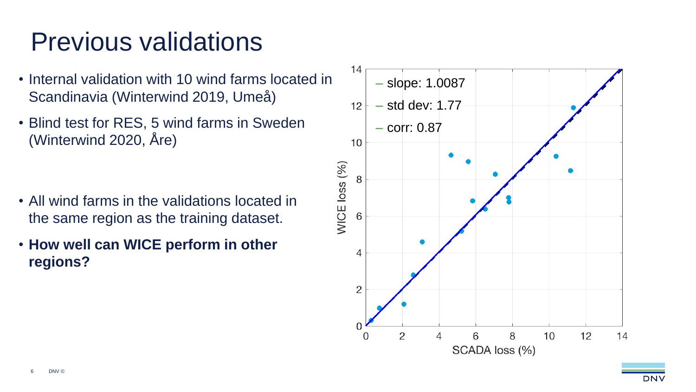## Previous validations

- Internal validation with 10 wind farms located in Scandinavia (Winterwind 2019, Umeå)
- Blind test for RES, 5 wind farms in Sweden (Winterwind 2020, Åre)

- All wind farms in the validations located in the same region as the training dataset.
- **How well can WICE perform in other regions?**

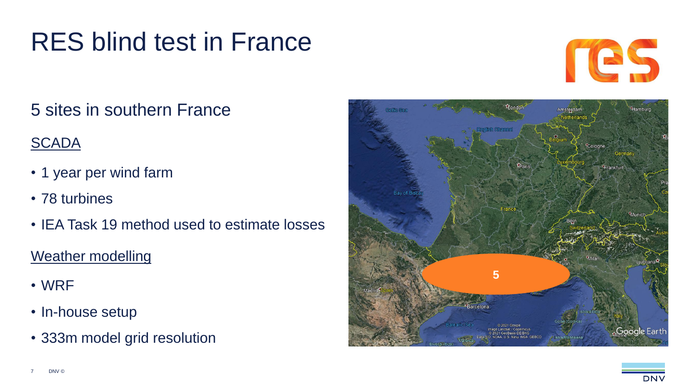### RES blind test in France



#### 5 sites in southern France

#### **SCADA**

- 1 year per wind farm
- 78 turbines
- IEA Task 19 method used to estimate losses

#### Weather modelling

- WRF
- In-house setup
- 333m model grid resolution

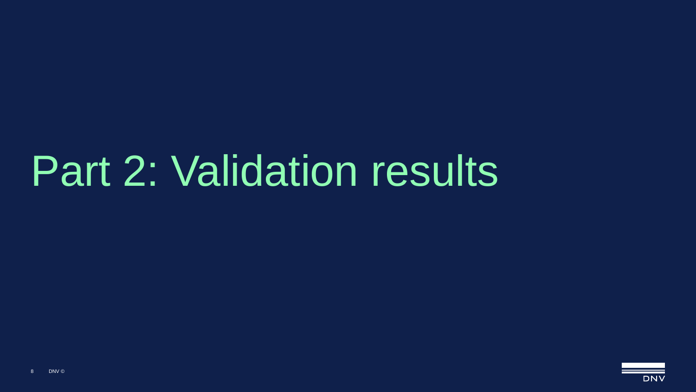# Part 2: Validation results

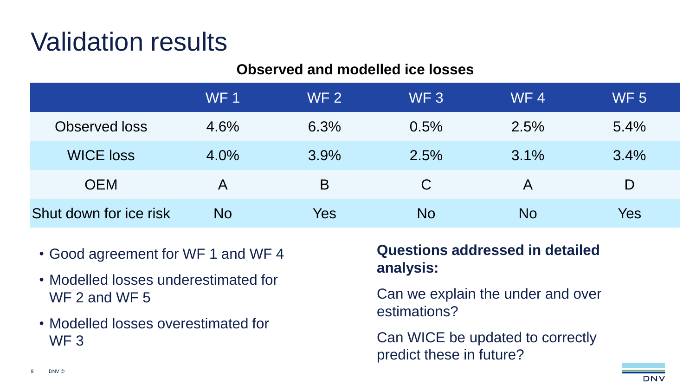#### **Observed and modelled ice losses**

|                        | WF <sub>1</sub> | WF <sub>2</sub> | WF <sub>3</sub> | WF4     | <b>WF 5</b> |
|------------------------|-----------------|-----------------|-----------------|---------|-------------|
| Observed loss          | 4.6%            | 6.3%            | 0.5%            | 2.5%    | $5.4\%$     |
| <b>WICE loss</b>       | $4.0\%$         | 3.9%            | 2.5%            | $3.1\%$ | 3.4%        |
| <b>OEM</b>             | A               | B               | C               | A       | D           |
| Shut down for ice risk | <b>No</b>       | Yes             | <b>No</b>       | No      | Yes         |

- Good agreement for WF 1 and WF 4
- Modelled losses underestimated for WF 2 and WF 5
- Modelled losses overestimated for WF 3

#### **Questions addressed in detailed analysis:**

Can we explain the under and over estimations?

Can WICE be updated to correctly predict these in future?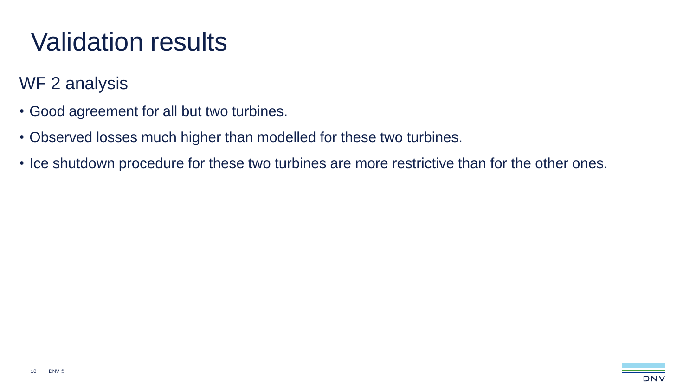#### WF 2 analysis

- Good agreement for all but two turbines.
- Observed losses much higher than modelled for these two turbines.
- Ice shutdown procedure for these two turbines are more restrictive than for the other ones.

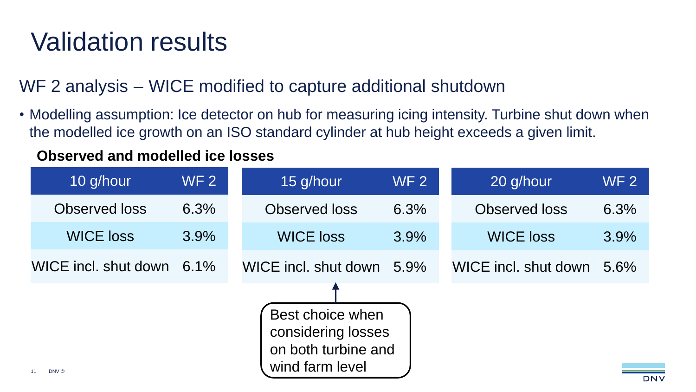WF 2 analysis – WICE modified to capture additional shutdown

• Modelling assumption: Ice detector on hub for measuring icing intensity. Turbine shut down when the modelled ice growth on an ISO standard cylinder at hub height exceeds a given limit.

#### **Observed and modelled ice losses**

| 10 g/hour            | <b>WF 2</b> | 15 g/hour            | <b>WF2</b> | 20 g/hour            | <b>WF2</b> |
|----------------------|-------------|----------------------|------------|----------------------|------------|
| Observed loss        | 6.3%        | Observed loss        | 6.3%       | Observed loss        | 6.3%       |
| <b>WICE loss</b>     | 3.9%        | <b>WICE loss</b>     | 3.9%       | <b>WICE loss</b>     | 3.9%       |
| WICE incl. shut down | $6.1\%$     | WICE incl. shut down | 5.9%       | WICE incl. shut down | 5.6%       |
| DNV ©                |             |                      |            |                      |            |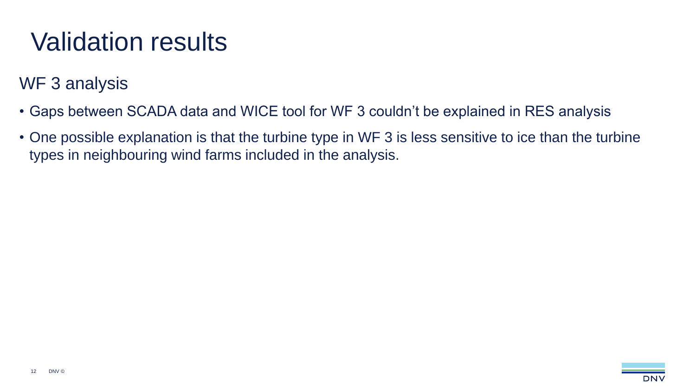#### WF 3 analysis

- Gaps between SCADA data and WICE tool for WF 3 couldn't be explained in RES analysis
- One possible explanation is that the turbine type in WF 3 is less sensitive to ice than the turbine types in neighbouring wind farms included in the analysis.

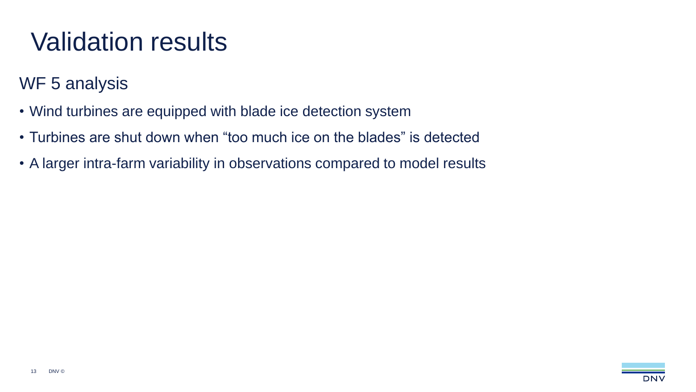#### WF 5 analysis

- Wind turbines are equipped with blade ice detection system
- Turbines are shut down when "too much ice on the blades" is detected
- A larger intra-farm variability in observations compared to model results

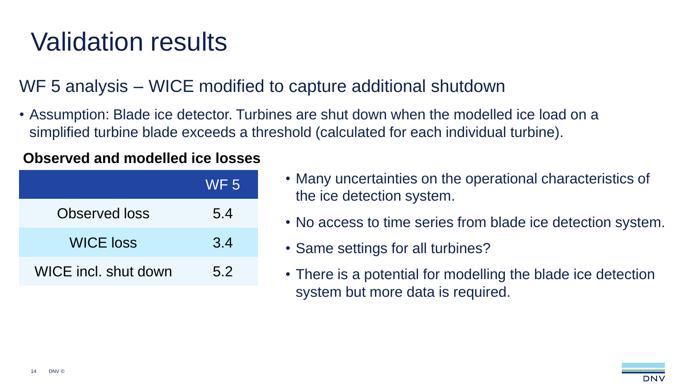WF 5 analysis – WICE modified to capture additional shutdown

• Assumption: Blade ice detector. Turbines are shut down when the modelled ice load on a simplified turbine blade exceeds a threshold (calculated for each individual turbine).

#### **Observed and modelled ice losses**

|                      | WF <sub>5</sub> |
|----------------------|-----------------|
| <b>Observed loss</b> | 5.4             |
| <b>WICE loss</b>     | 3.4             |
| WICE incl. shut down | 5.2             |

- Many uncertainties on the operational characteristics of the ice detection system.
- No access to time series from blade ice detection system.
- Same settings for all turbines?
- There is a potential for modelling the blade ice detection system but more data is required.

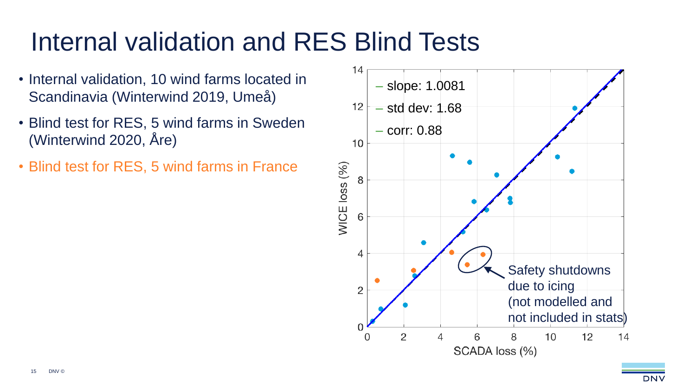### Internal validation and RES Blind Tests

- Internal validation, 10 wind farms located in Scandinavia (Winterwind 2019, Umeå)
- Blind test for RES, 5 wind farms in Sweden (Winterwind 2020, Åre)
- Blind test for RES, 5 wind farms in France

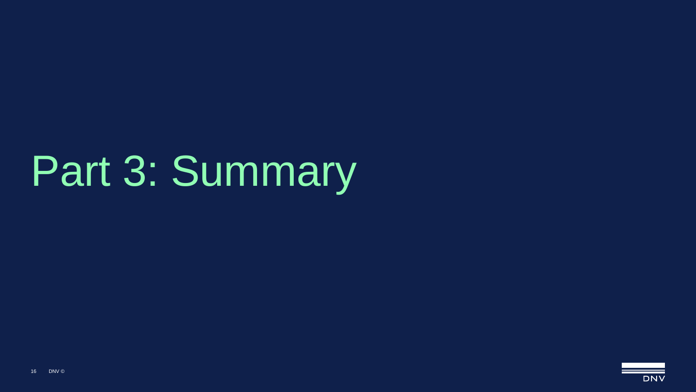# Part 3: Summary

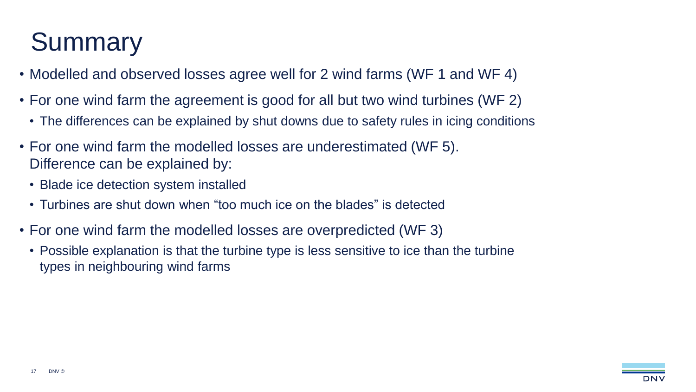## **Summary**

- Modelled and observed losses agree well for 2 wind farms (WF 1 and WF 4)
- For one wind farm the agreement is good for all but two wind turbines (WF 2)
	- The differences can be explained by shut downs due to safety rules in icing conditions
- For one wind farm the modelled losses are underestimated (WF 5). Difference can be explained by:
	- Blade ice detection system installed
	- Turbines are shut down when "too much ice on the blades" is detected
- For one wind farm the modelled losses are overpredicted (WF 3)
	- Possible explanation is that the turbine type is less sensitive to ice than the turbine types in neighbouring wind farms

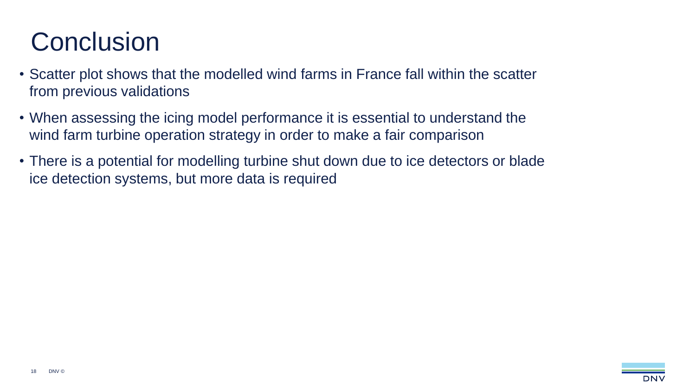## **Conclusion**

- Scatter plot shows that the modelled wind farms in France fall within the scatter from previous validations
- When assessing the icing model performance it is essential to understand the wind farm turbine operation strategy in order to make a fair comparison
- There is a potential for modelling turbine shut down due to ice detectors or blade ice detection systems, but more data is required